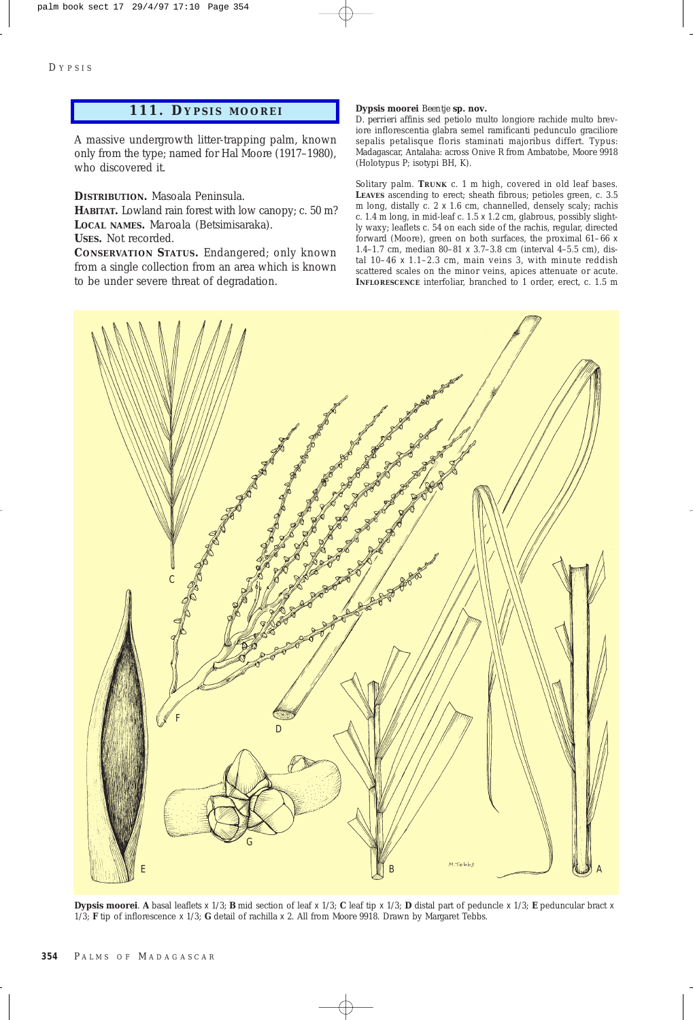## **111. D YPSIS MOOREI**

A massive undergrowth litter-trapping palm, known only from the type; named for Hal Moore (1917–1980), who discovered it.

**DISTRIBUTION.** Masoala Peninsula.

**HABITAT.** Lowland rain forest with low canopy; c. 50 m? **LOCAL NAMES.** *Maroala* (Betsimisaraka).

**USES.** Not recorded.

**CONSERVATION STATUS.** Endangered; only known from a single collection from an area which is known to be under severe threat of degradation.

## **Dypsis moorei** *Beentje* **sp. nov.**

*D. perrieri* affinis sed petiolo multo longiore rachide multo breviore inflorescentia glabra semel ramificanti pedunculo graciliore sepalis petalisque floris staminati majoribus differt. Typus: Madagascar, Antalaha: across Onive R from Ambatobe, *Moore* 9918 (Holotypus P; isotypi BH, K).

Solitary palm. **TRUNK** c. 1 m high, covered in old leaf bases. **LEAVES** ascending to erect; sheath fibrous; petioles green, c. 3.5 m long, distally c. 2 x 1.6 cm, channelled, densely scaly; rachis c. 1.4 m long, in mid-leaf c.  $1.5 \times 1.2$  cm, glabrous, possibly slightly waxy; leaflets c. 54 on each side of the rachis, regular, directed forward (Moore), green on both surfaces, the proximal 61–66 x 1.4–1.7 cm, median 80–81 x 3.7–3.8 cm (interval 4–5.5 cm), distal 10–46 x 1.1–2.3 cm, main veins 3, with minute reddish scattered scales on the minor veins, apices attenuate or acute. **INFLORESCENCE** interfoliar, branched to 1 order, erect, c. 1.5 m



**Dypsis moorei**. **A** basal leaflets x 1/3; **B** mid section of leaf x 1/3; **C** leaf tip x 1/3; **D** distal part of peduncle x 1/3; **E** peduncular bract x 1/3; **F** tip of inflorescence x 1/3; **G** detail of rachilla x 2. All from *Moore* 9918. Drawn by Margaret Tebbs.